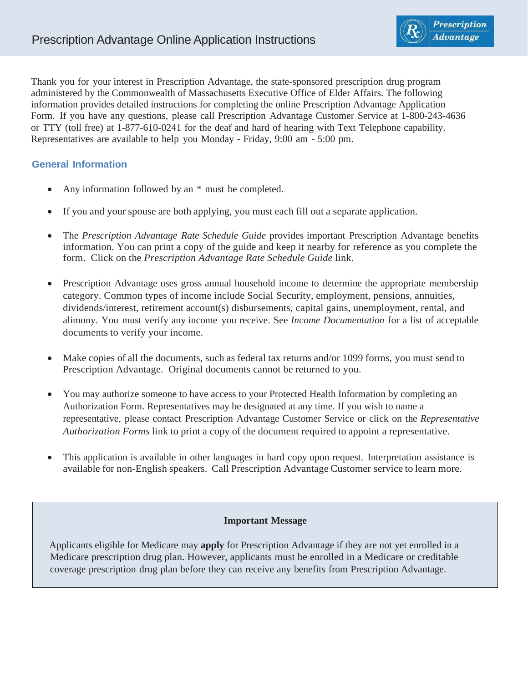Thank you for your interest in Prescription Advantage, the state-sponsored prescription drug program administered by the Commonwealth of Massachusetts Executive Office of Elder Affairs. The following information provides detailed instructions for completing the online Prescription Advantage Application Form. If you have any questions, please call Prescription Advantage Customer Service at 1-800-243-4636 or TTY (toll free) at 1-877-610-0241 for the deaf and hard of hearing with Text Telephone capability. Representatives are available to help you Monday - Friday, 9:00 am - 5:00 pm.

# **General Information**

- Any information followed by an  $*$  must be completed.
- If you and your spouse are both applying, you must each fill out a separate application.
- The *Prescription Advantage Rate Schedule Guide* provides important Prescription Advantage benefits information. You can print a copy of the guide and keep it nearby for reference as you complete the form. Click on the *Prescription Advantage Rate Schedule Guide* link.
- Prescription Advantage uses gross annual household income to determine the appropriate membership category. Common types of income include Social Security, employment, pensions, annuities, dividends/interest, retirement account(s) disbursements, capital gains, unemployment, rental, and alimony. You must verify any income you receive. See *Income Documentation* for a list of acceptable documents to verify your income.
- Make copies of all the documents, such as federal tax returns and/or 1099 forms, you must send to Prescription Advantage. Original documents cannot be returned to you.
- You may authorize someone to have access to your Protected Health Information by completing an Authorization Form. Representatives may be designated at any time. If you wish to name a representative, please contact Prescription Advantage Customer Service or click on the *Representative Authorization Forms* link to print a copy of the document required to appoint a representative.
- This application is available in other languages in hard copy upon request. Interpretation assistance is available for non-English speakers. Call Prescription Advantage Customer service to learn more.

#### **Important Message**

Applicants eligible for Medicare may **apply** for Prescription Advantage if they are not yet enrolled in a Medicare prescription drug plan. However, applicants must be enrolled in a Medicare or creditable coverage prescription drug plan before they can receive any benefits from Prescription Advantage.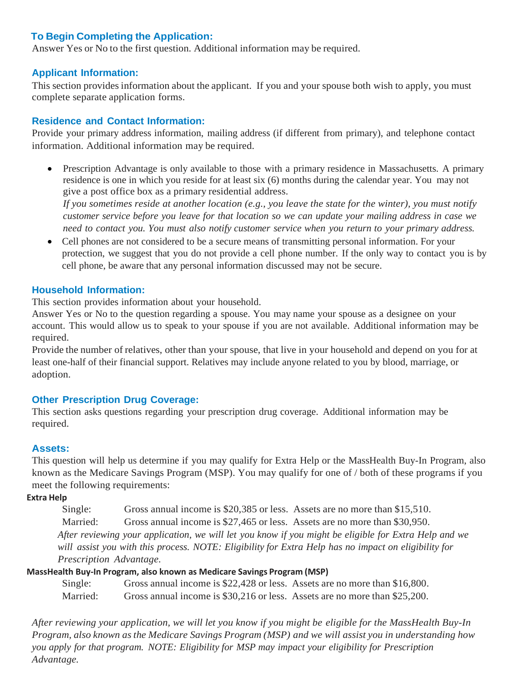## **To Begin Completing the Application:**

Answer Yes or No to the first question. Additional information may be required.

#### **Applicant Information:**

This section provides information about the applicant. If you and your spouse both wish to apply, you must complete separate application forms.

#### **Residence and Contact Information:**

Provide your primary address information, mailing address (if different from primary), and telephone contact information. Additional information may be required.

• Prescription Advantage is only available to those with a primary residence in Massachusetts. A primary residence is one in which you reside for at least six (6) months during the calendar year. You may not give a post office box as a primary residential address.

*If you sometimes reside at another location (e.g., you leave the state for the winter), you must notify* customer service before you leave for that location so we can update your mailing address in case we *need to contact you. You must also notify customer service when you return to your primary address.*

• Cell phones are not considered to be a secure means of transmitting personal information. For your protection, we suggest that you do not provide a cell phone number. If the only way to contact you is by cell phone, be aware that any personal information discussed may not be secure.

#### **Household Information:**

This section provides information about your household.

Answer Yes or No to the question regarding a spouse. You may name your spouse as a designee on your account. This would allow us to speak to your spouse if you are not available. Additional information may be required.

Provide the number of relatives, other than your spouse, that live in your household and depend on you for at least one-half of their financial support. Relatives may include anyone related to you by blood, marriage, or adoption.

#### **Other Prescription Drug Coverage:**

This section asks questions regarding your prescription drug coverage. Additional information may be required.

#### **Assets:**

This question will help us determine if you may qualify for Extra Help or the MassHealth Buy-In Program, also known as the Medicare Savings Program (MSP). You may qualify for one of / both of these programs if you meet the following requirements:

**Extra Help**

Single: Gross annual income is \$20,385 or less. Assets are no more than \$15,510. Married: Gross annual income is \$27,465 or less. Assets are no more than \$30,950. After reviewing your application, we will let you know if you might be eligible for Extra Help and we *will assist you with this process. NOTE: Eligibility for Extra Help has no impact on eligibility for Prescription Advantage.*

#### **MassHealth Buy-In Program, also known as Medicare Savings Program (MSP)**

| Single:  | Gross annual income is \$22,428 or less. Assets are no more than \$16,800. |  |
|----------|----------------------------------------------------------------------------|--|
| Married: | Gross annual income is \$30,216 or less. Assets are no more than \$25,200. |  |

*After reviewing your application, we will let you know if you might be eligible for the MassHealth Buy-In Program, also known as the Medicare Savings Program (MSP) and we will assist you in understanding how you apply for that program. NOTE: Eligibility for MSP may impact your eligibility for Prescription Advantage.*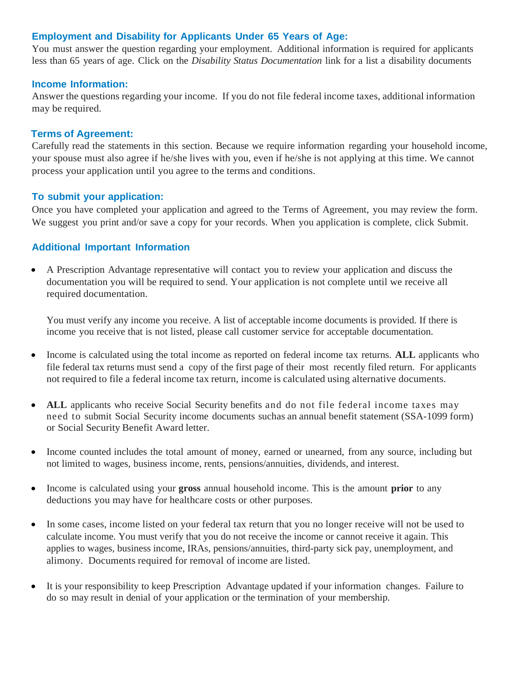### **Employment and Disability for Applicants Under 65 Years of Age:**

You must answer the question regarding your employment. Additional information is required for applicants less than 65 years of age. Click on the *Disability Status Documentation* link for a list a disability documents

#### **Income Information:**

Answer the questions regarding your income. If you do not file federal income taxes, additional information may be required.

#### **Terms of Agreement:**

Carefully read the statements in this section. Because we require information regarding your household income, your spouse must also agree if he/she lives with you, even if he/she is not applying at this time. We cannot process your application until you agree to the terms and conditions.

#### **To submit your application:**

Once you have completed your application and agreed to the Terms of Agreement, you may review the form. We suggest you print and/or save a copy for your records. When you application is complete, click Submit.

## **Additional Important Information**

• A Prescription Advantage representative will contact you to review your application and discuss the documentation you will be required to send. Your application is not complete until we receive all required documentation.

You must verify any income you receive. A list of acceptable income documents is provided. If there is income you receive that is not listed, please call customer service for acceptable documentation.

- Income is calculated using the total income as reported on federal income tax returns. **ALL** applicants who file federal tax returns must send a copy of the first page of their most recently filed return. For applicants not required to file a federal income tax return, income is calculated using alternative documents.
- **ALL** applicants who receive Social Security benefits and do not file federal income taxes may need to submit Social Security income documents suchas an annual benefit statement (SSA-1099 form) or Social Security Benefit Award letter.
- Income counted includes the total amount of money, earned or unearned, from any source, including but not limited to wages, business income, rents, pensions/annuities, dividends, and interest.
- Income is calculated using your **gross** annual household income. This is the amount **prior** to any deductions you may have for healthcare costs or other purposes.
- In some cases, income listed on your federal tax return that you no longer receive will not be used to calculate income. You must verify that you do not receive the income or cannot receive it again. This applies to wages, business income, IRAs, pensions/annuities, third-party sick pay, unemployment, and alimony. Documents required for removal of income are listed.
- It is your responsibility to keep Prescription Advantage updated if your information changes. Failure to do so may result in denial of your application or the termination of your membership.